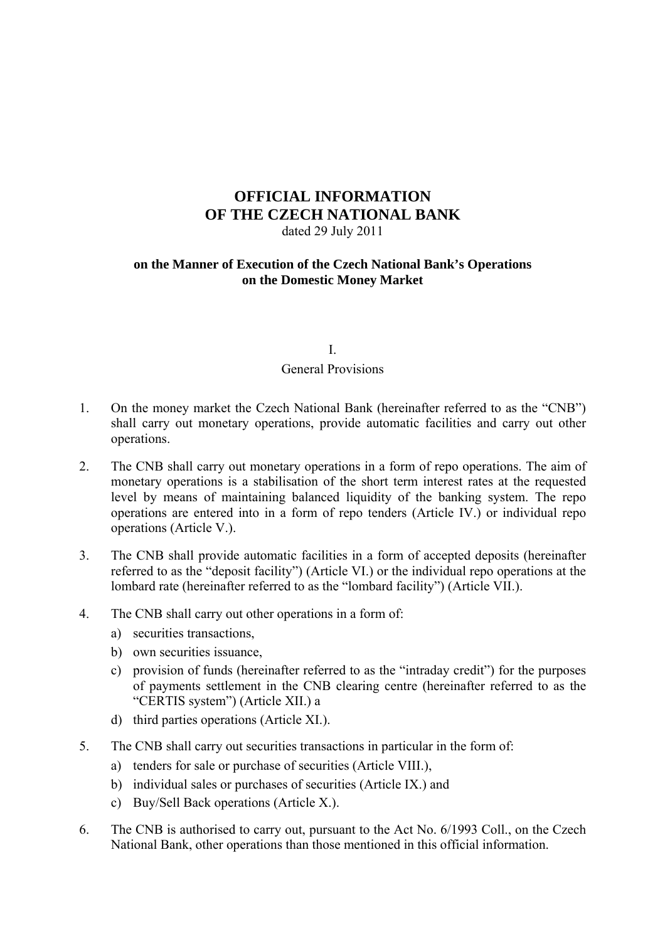# **OFFICIAL INFORMATION OF THE CZECH NATIONAL BANK**  dated 29 July 2011

### **on the Manner of Execution of the Czech National Bank's Operations on the Domestic Money Market**

## I. General Provisions

- 1. On the money market the Czech National Bank (hereinafter referred to as the "CNB") shall carry out monetary operations, provide automatic facilities and carry out other operations.
- 2. The CNB shall carry out monetary operations in a form of repo operations. The aim of monetary operations is a stabilisation of the short term interest rates at the requested level by means of maintaining balanced liquidity of the banking system. The repo operations are entered into in a form of repo tenders (Article IV.) or individual repo operations (Article V.).
- 3. The CNB shall provide automatic facilities in a form of accepted deposits (hereinafter referred to as the "deposit facility") (Article VI.) or the individual repo operations at the lombard rate (hereinafter referred to as the "lombard facility") (Article VII.).
- 4. The CNB shall carry out other operations in a form of:
	- a) securities transactions,
	- b) own securities issuance,
	- c) provision of funds (hereinafter referred to as the "intraday credit") for the purposes of payments settlement in the CNB clearing centre (hereinafter referred to as the "CERTIS system") (Article XII.) a
	- d) third parties operations (Article XI.).
- 5. The CNB shall carry out securities transactions in particular in the form of:
	- a) tenders for sale or purchase of securities (Article VIII.),
	- b) individual sales or purchases of securities (Article IX.) and
	- c) Buy/Sell Back operations (Article X.).
- 6. The CNB is authorised to carry out, pursuant to the Act No. 6/1993 Coll., on the Czech National Bank, other operations than those mentioned in this official information.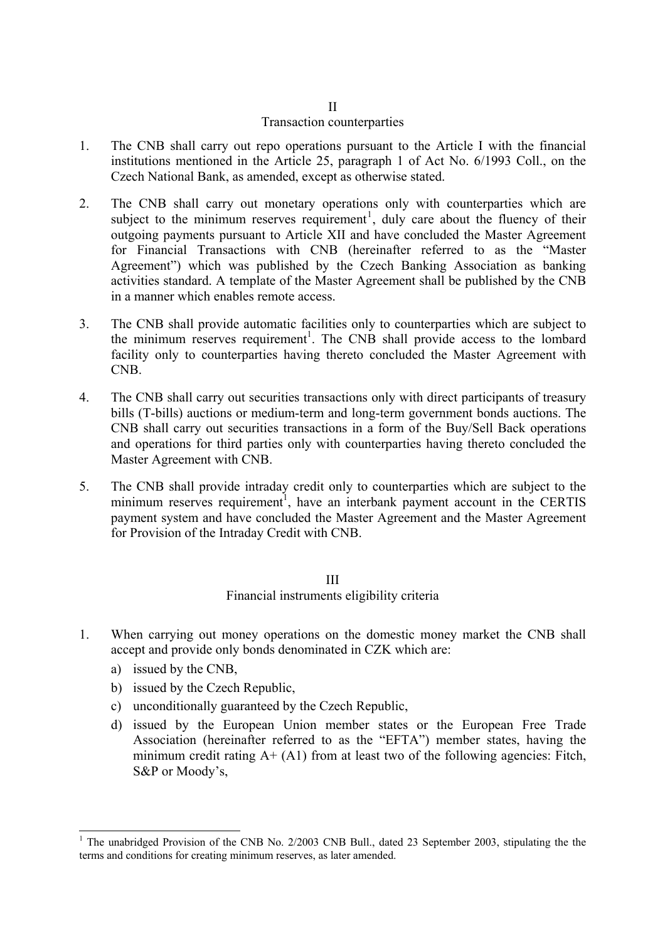#### II Transaction counterparties

- 1. The CNB shall carry out repo operations pursuant to the Article I with the financial institutions mentioned in the Article 25, paragraph 1 of Act No. 6/1993 Coll., on the Czech National Bank, as amended, except as otherwise stated.
- <span id="page-1-1"></span>2. The CNB shall carry out monetary operations only with counterparties which are subject to the minimum reserves requirement<sup>[1](#page-1-0)</sup>, duly care about the fluency of their outgoing payments pursuant to Article XII and have concluded the Master Agreement for Financial Transactions with CNB (hereinafter referred to as the "Master Agreement") which was published by the Czech Banking Association as banking activities standard. A template of the Master Agreement shall be published by the CNB in a manner which enables remote access.
- 3. The CNB shall provide automatic facilities only to counterparties which are subject to the minimum reserves requirement<sup>[1](#page-1-1)</sup>. The CNB shall provide access to the lombard facility only to counterparties having thereto concluded the Master Agreement with CNB.
- 4. The CNB shall carry out securities transactions only with direct participants of treasury bills (T-bills) auctions or medium-term and long-term government bonds auctions. The CNB shall carry out securities transactions in a form of the Buy/Sell Back operations and operations for third parties only with counterparties having thereto concluded the Master Agreement with CNB.
- 5. The CNB shall provide intraday credit only to counterparties which are subject to the minimum reserves requirement<sup>1</sup>, have an interbank payment account in the CERTIS payment system and have concluded the Master Agreement and the Master Agreement for Provision of the Intraday Credit with CNB.

#### III Financial instruments eligibility criteria

- 1. When carrying out money operations on the domestic money market the CNB shall accept and provide only bonds denominated in CZK which are:
	- a) issued by the CNB,

 $\overline{a}$ 

- b) issued by the Czech Republic,
- c) unconditionally guaranteed by the Czech Republic,
- d) issued by the European Union member states or the European Free Trade Association (hereinafter referred to as the "EFTA") member states, having the minimum credit rating  $A + (A1)$  from at least two of the following agencies: Fitch, S&P or Moody's,

<span id="page-1-0"></span><sup>&</sup>lt;sup>1</sup> The unabridged Provision of the CNB No. 2/2003 CNB Bull., dated 23 September 2003, stipulating the the terms and conditions for creating minimum reserves, as later amended.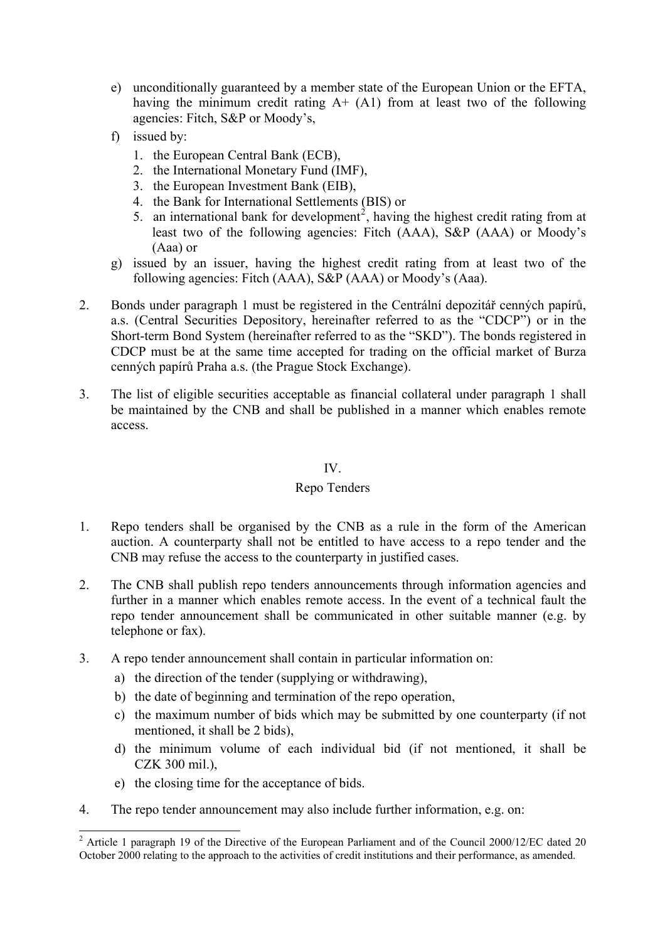- e) unconditionally guaranteed by a member state of the European Union or the EFTA, having the minimum credit rating  $A+ (A1)$  from at least two of the following agencies: Fitch, S&P or Moody's,
- f) issued by:
	- 1. the European Central Bank (ECB),
	- 2. the International Monetary Fund (IMF),
	- 3. the European Investment Bank (EIB),
	- 4. the Bank for International Settlements (BIS) or
	- 5. an international bank for development<sup>[2](#page-2-0)</sup>, having the highest credit rating from at least two of the following agencies: Fitch (AAA), S&P (AAA) or Moody's (Aaa) or
- g) issued by an issuer, having the highest credit rating from at least two of the following agencies: Fitch (AAA), S&P (AAA) or Moody's (Aaa).
- 2. Bonds under paragraph 1 must be registered in the Centrální depozitář cenných papírů, a.s. (Central Securities Depository, hereinafter referred to as the "CDCP") or in the Short-term Bond System (hereinafter referred to as the "SKD"). The bonds registered in CDCP must be at the same time accepted for trading on the official market of Burza cenných papírů Praha a.s. (the Prague Stock Exchange).
- 3. The list of eligible securities acceptable as financial collateral under paragraph 1 shall be maintained by the CNB and shall be published in a manner which enables remote access.

## IV.

### Repo Tenders

- 1. Repo tenders shall be organised by the CNB as a rule in the form of the American auction. A counterparty shall not be entitled to have access to a repo tender and the CNB may refuse the access to the counterparty in justified cases.
- 2. The CNB shall publish repo tenders announcements through information agencies and further in a manner which enables remote access. In the event of a technical fault the repo tender announcement shall be communicated in other suitable manner (e.g. by telephone or fax).
- 3. A repo tender announcement shall contain in particular information on:
	- a) the direction of the tender (supplying or withdrawing),
	- b) the date of beginning and termination of the repo operation,
	- c) the maximum number of bids which may be submitted by one counterparty (if not mentioned, it shall be 2 bids),
	- d) the minimum volume of each individual bid (if not mentioned, it shall be CZK 300 mil.),
	- e) the closing time for the acceptance of bids.
- 4. The repo tender announcement may also include further information, e.g. on:

<span id="page-2-0"></span><sup>&</sup>lt;sup>2</sup> Article 1 paragraph 19 of the Directive of the European Parliament and of the Council 2000/12/EC dated 20 October 2000 relating to the approach to the activities of credit institutions and their performance, as amended.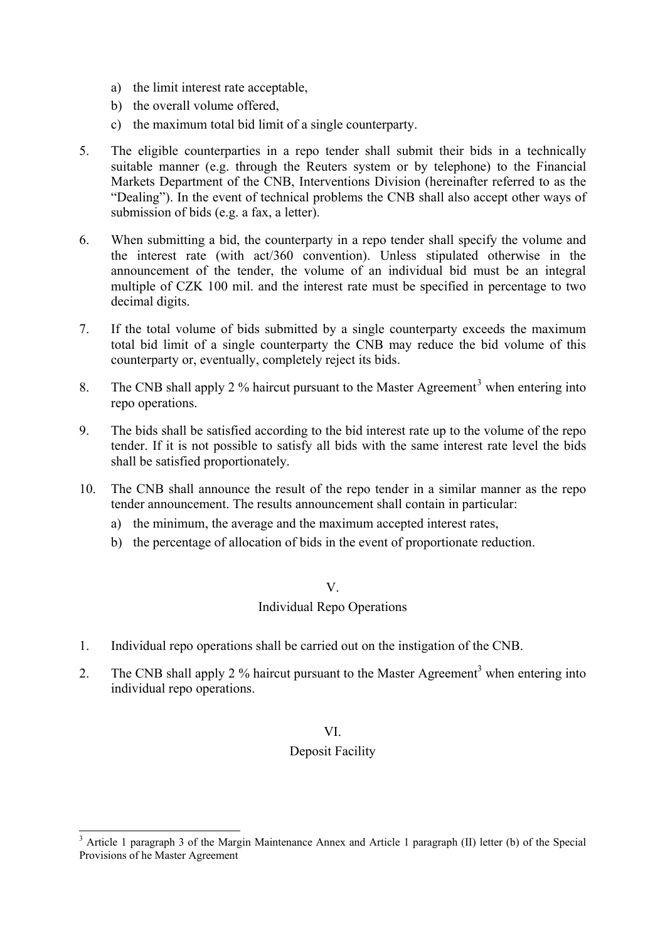- a) the limit interest rate acceptable,
- b) the overall volume offered,
- c) the maximum total bid limit of a single counterparty.
- 5. The eligible counterparties in a repo tender shall submit their bids in a technically suitable manner (e.g. through the Reuters system or by telephone) to the Financial Markets Department of the CNB, Interventions Division (hereinafter referred to as the "Dealing"). In the event of technical problems the CNB shall also accept other ways of submission of bids (e.g. a fax, a letter).
- 6. When submitting a bid, the counterparty in a repo tender shall specify the volume and the interest rate (with act/360 convention). Unless stipulated otherwise in the announcement of the tender, the volume of an individual bid must be an integral multiple of CZK 100 mil. and the interest rate must be specified in percentage to two decimal digits.
- 7. If the total volume of bids submitted by a single counterparty exceeds the maximum total bid limit of a single counterparty the CNB may reduce the bid volume of this counterparty or, eventually, completely reject its bids.
- <span id="page-3-1"></span>8. The CNB shall apply 2 % haircut pursuant to the Master Agreement<sup>[3](#page-3-0)</sup> when entering into repo operations.
- 9. The bids shall be satisfied according to the bid interest rate up to the volume of the repo tender. If it is not possible to satisfy all bids with the same interest rate level the bids shall be satisfied proportionately.
- 10. The CNB shall announce the result of the repo tender in a similar manner as the repo tender announcement. The results announcement shall contain in particular:
	- a) the minimum, the average and the maximum accepted interest rates,
	- b) the percentage of allocation of bids in the event of proportionate reduction.

### V.

### Individual Repo Operations

- 1. Individual repo operations shall be carried out on the instigation of the CNB.
- 2. The CNB shall apply 2 % haircut pursuant to the Master Agreement<sup>3</sup> when entering into individual repo operations.

### VI.

### Deposit Facility

 $\overline{a}$ 

<span id="page-3-0"></span><sup>&</sup>lt;sup>3</sup> Article 1 paragraph 3 of the Margin Maintenance Annex and Article 1 paragraph (II) letter (b) of the Special Provisions of he Master Agreement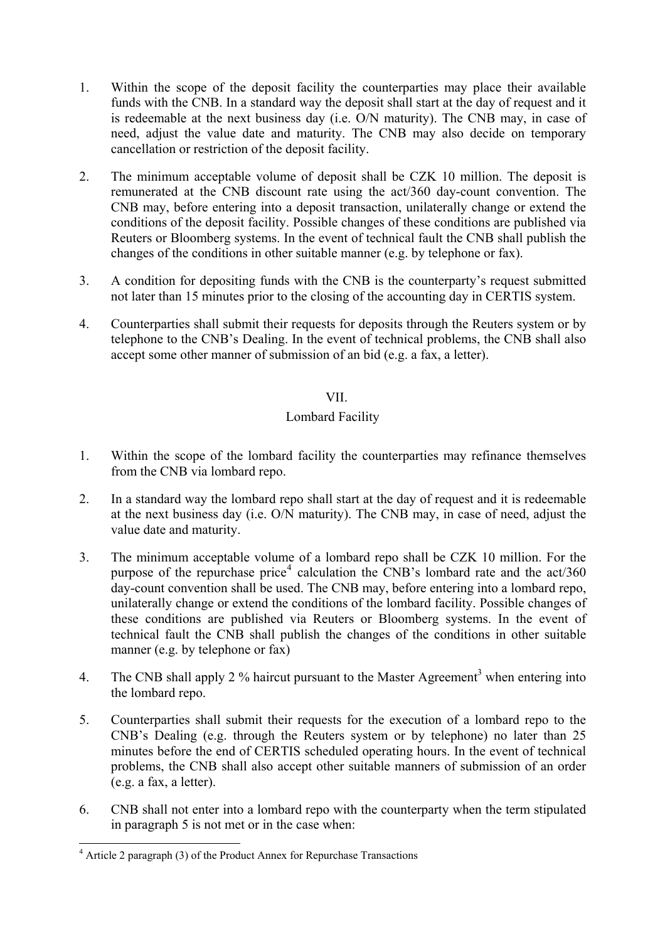- 1. Within the scope of the deposit facility the counterparties may place their available funds with the CNB. In a standard way the deposit shall start at the day of request and it is redeemable at the next business day (i.e. O/N maturity). The CNB may, in case of need, adjust the value date and maturity. The CNB may also decide on temporary cancellation or restriction of the deposit facility.
- 2. The minimum acceptable volume of deposit shall be CZK 10 million. The deposit is remunerated at the CNB discount rate using the act/360 day-count convention. The CNB may, before entering into a deposit transaction, unilaterally change or extend the conditions of the deposit facility. Possible changes of these conditions are published via Reuters or Bloomberg systems. In the event of technical fault the CNB shall publish the changes of the conditions in other suitable manner (e.g. by telephone or fax).
- 3. A condition for depositing funds with the CNB is the counterparty's request submitted not later than 15 minutes prior to the closing of the accounting day in CERTIS system.
- 4. Counterparties shall submit their requests for deposits through the Reuters system or by telephone to the CNB's Dealing. In the event of technical problems, the CNB shall also accept some other manner of submission of an bid (e.g. a fax, a letter).

### VII.

### Lombard Facility

- 1. Within the scope of the lombard facility the counterparties may refinance themselves from the CNB via lombard repo.
- 2. In a standard way the lombard repo shall start at the day of request and it is redeemable at the next business day (i.e. O/N maturity). The CNB may, in case of need, adjust the value date and maturity.
- 3. The minimum acceptable volume of a lombard repo shall be CZK 10 million. For the purpose of the repurchase price<sup>[4](#page-4-0)</sup> calculation the CNB's lombard rate and the  $act/360$ day-count convention shall be used. The CNB may, before entering into a lombard repo, unilaterally change or extend the conditions of the lombard facility. Possible changes of these conditions are published via Reuters or Bloomberg systems. In the event of technical fault the CNB shall publish the changes of the conditions in other suitable manner (e.g. by telephone or fax)
- 4. The CNB shall apply 2 % haircut pursuant to the Master Agreement<sup>3</sup> when entering into the lombard repo.
- 5. Counterparties shall submit their requests for the execution of a lombard repo to the CNB's Dealing (e.g. through the Reuters system or by telephone) no later than 25 minutes before the end of CERTIS scheduled operating hours. In the event of technical problems, the CNB shall also accept other suitable manners of submission of an order (e.g. a fax, a letter).
- 6. CNB shall not enter into a lombard repo with the counterparty when the term stipulated in paragraph 5 is not met or in the case when:

<span id="page-4-0"></span> 4 Article 2 paragraph (3) of the Product Annex for Repurchase Transactions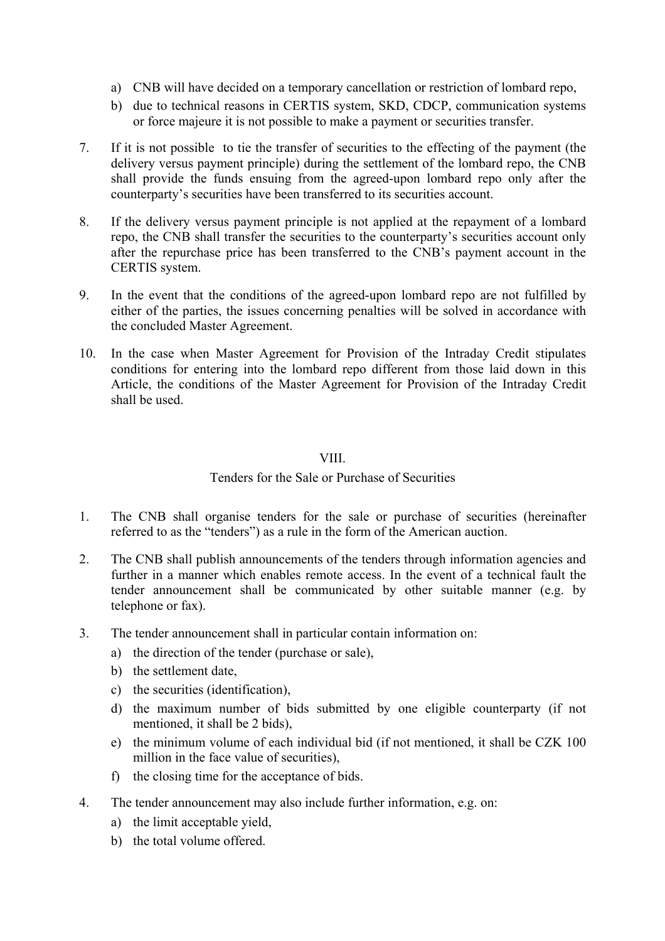- a) CNB will have decided on a temporary cancellation or restriction of lombard repo,
- b) due to technical reasons in CERTIS system, SKD, CDCP, communication systems or force majeure it is not possible to make a payment or securities transfer.
- 7. If it is not possible to tie the transfer of securities to the effecting of the payment (the delivery versus payment principle) during the settlement of the lombard repo, the CNB shall provide the funds ensuing from the agreed-upon lombard repo only after the counterparty's securities have been transferred to its securities account.
- 8. If the delivery versus payment principle is not applied at the repayment of a lombard repo, the CNB shall transfer the securities to the counterparty's securities account only after the repurchase price has been transferred to the CNB's payment account in the CERTIS system.
- 9. In the event that the conditions of the agreed-upon lombard repo are not fulfilled by either of the parties, the issues concerning penalties will be solved in accordance with the concluded Master Agreement.
- 10. In the case when Master Agreement for Provision of the Intraday Credit stipulates conditions for entering into the lombard repo different from those laid down in this Article, the conditions of the Master Agreement for Provision of the Intraday Credit shall be used.

### VIII.

## Tenders for the Sale or Purchase of Securities

- 1. The CNB shall organise tenders for the sale or purchase of securities (hereinafter referred to as the "tenders") as a rule in the form of the American auction.
- 2. The CNB shall publish announcements of the tenders through information agencies and further in a manner which enables remote access. In the event of a technical fault the tender announcement shall be communicated by other suitable manner (e.g. by telephone or fax).
- 3. The tender announcement shall in particular contain information on:
	- a) the direction of the tender (purchase or sale),
	- b) the settlement date,
	- c) the securities (identification),
	- d) the maximum number of bids submitted by one eligible counterparty (if not mentioned, it shall be 2 bids),
	- e) the minimum volume of each individual bid (if not mentioned, it shall be CZK 100 million in the face value of securities),
	- f) the closing time for the acceptance of bids.
- 4. The tender announcement may also include further information, e.g. on:
	- a) the limit acceptable yield,
	- b) the total volume offered.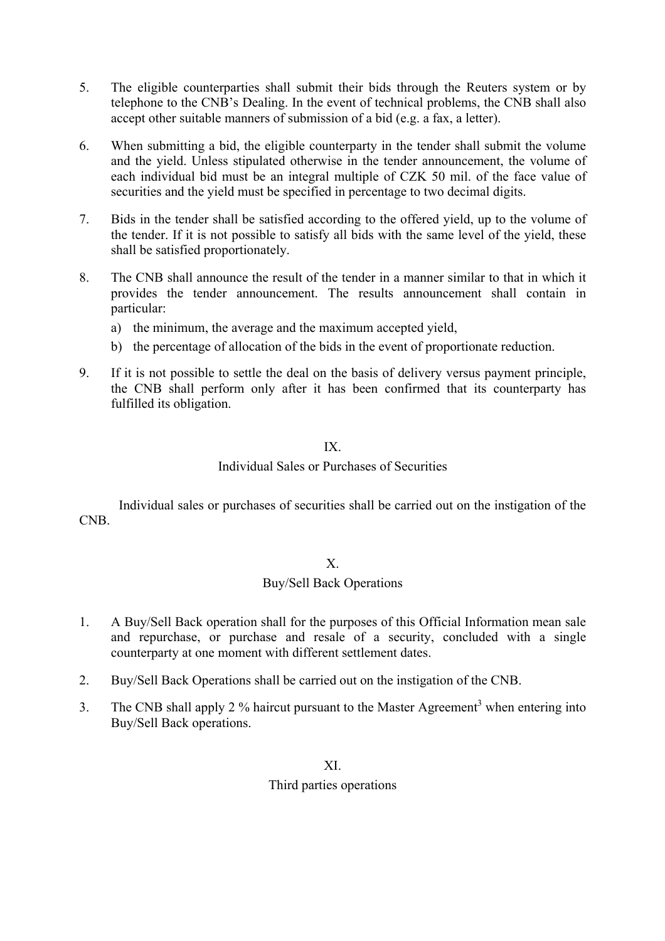- 5. The eligible counterparties shall submit their bids through the Reuters system or by telephone to the CNB's Dealing. In the event of technical problems, the CNB shall also accept other suitable manners of submission of a bid (e.g. a fax, a letter).
- 6. When submitting a bid, the eligible counterparty in the tender shall submit the volume and the yield. Unless stipulated otherwise in the tender announcement, the volume of each individual bid must be an integral multiple of CZK 50 mil. of the face value of securities and the yield must be specified in percentage to two decimal digits.
- 7. Bids in the tender shall be satisfied according to the offered yield, up to the volume of the tender. If it is not possible to satisfy all bids with the same level of the yield, these shall be satisfied proportionately.
- 8. The CNB shall announce the result of the tender in a manner similar to that in which it provides the tender announcement. The results announcement shall contain in particular:
	- a) the minimum, the average and the maximum accepted yield,
	- b) the percentage of allocation of the bids in the event of proportionate reduction.
- 9. If it is not possible to settle the deal on the basis of delivery versus payment principle, the CNB shall perform only after it has been confirmed that its counterparty has fulfilled its obligation.

# IX.

## Individual Sales or Purchases of Securities

Individual sales or purchases of securities shall be carried out on the instigation of the CNB.

## X.

## Buy/Sell Back Operations

- 1. A Buy/Sell Back operation shall for the purposes of this Official Information mean sale and repurchase, or purchase and resale of a security, concluded with a single counterparty at one moment with different settlement dates.
- 2. Buy/Sell Back Operations shall be carried out on the instigation of the CNB.
- 3. The CNB shall apply 2 % haircut pursuant to the Master Agreement<sup>3</sup> when entering into Buy/Sell Back operations.

## XI.

## Third parties operations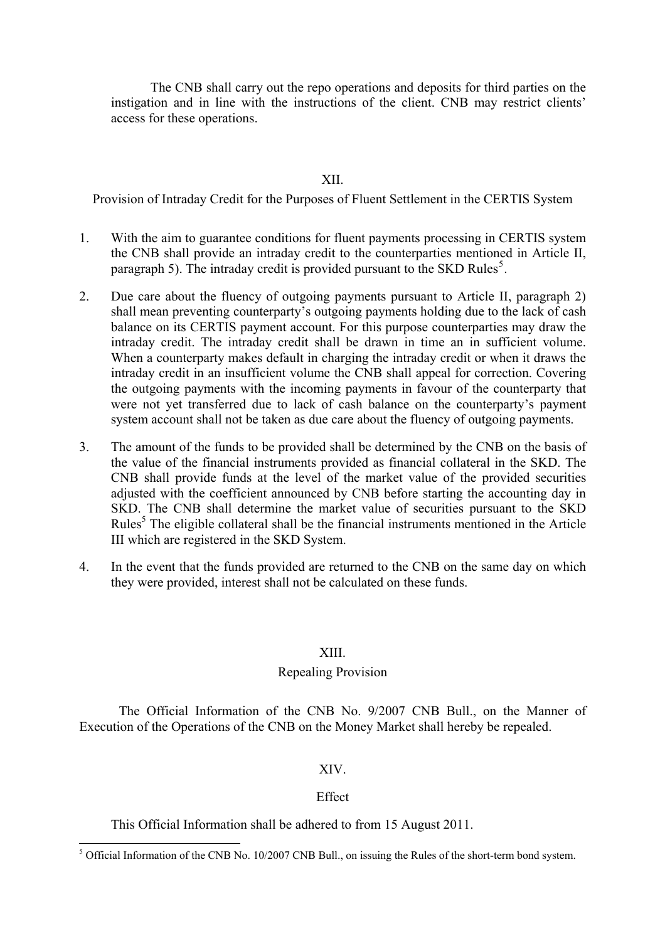The CNB shall carry out the repo operations and deposits for third parties on the instigation and in line with the instructions of the client. CNB may restrict clients' access for these operations.

XII.

Provision of Intraday Credit for the Purposes of Fluent Settlement in the CERTIS System

- 1. With the aim to guarantee conditions for fluent payments processing in CERTIS system the CNB shall provide an intraday credit to the counterparties mentioned in Article II, paragraph [5](#page-7-0)). The intraday credit is provided pursuant to the SKD Rules<sup>5</sup>.
- <span id="page-7-1"></span>2. Due care about the fluency of outgoing payments pursuant to Article II, paragraph 2) shall mean preventing counterparty's outgoing payments holding due to the lack of cash balance on its CERTIS payment account. For this purpose counterparties may draw the intraday credit. The intraday credit shall be drawn in time an in sufficient volume. When a counterparty makes default in charging the intraday credit or when it draws the intraday credit in an insufficient volume the CNB shall appeal for correction. Covering the outgoing payments with the incoming payments in favour of the counterparty that were not yet transferred due to lack of cash balance on the counterparty's payment system account shall not be taken as due care about the fluency of outgoing payments.
- 3. The amount of the funds to be provided shall be determined by the CNB on the basis of the value of the financial instruments provided as financial collateral in the SKD. The CNB shall provide funds at the level of the market value of the provided securities adjusted with the coefficient announced by CNB before starting the accounting day in SKD. The CNB shall determine the market value of securities pursuant to the SKD Rules<sup>[5](#page-7-1)</sup> The eligible collateral shall be the financial instruments mentioned in the Article III which are registered in the SKD System.
- 4. In the event that the funds provided are returned to the CNB on the same day on which they were provided, interest shall not be calculated on these funds.

### XIII.

### Repealing Provision

The Official Information of the CNB No. 9/2007 CNB Bull., on the Manner of Execution of the Operations of the CNB on the Money Market shall hereby be repealed.

### XIV.

### **Effect**

This Official Information shall be adhered to from 15 August 2011.

<span id="page-7-0"></span><sup>&</sup>lt;sup>5</sup> Official Information of the CNB No. 10/2007 CNB Bull., on issuing the Rules of the short-term bond system.